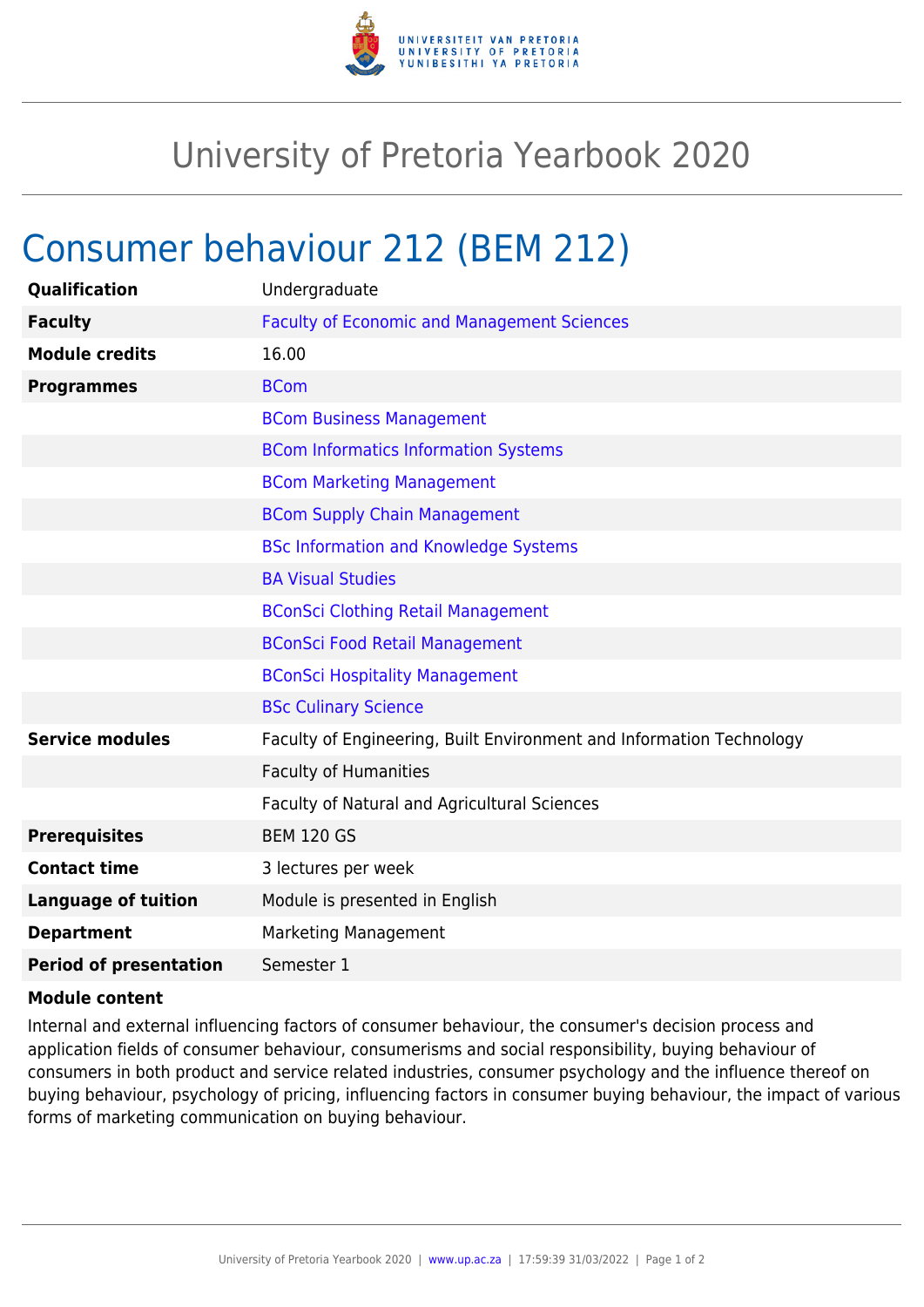

## University of Pretoria Yearbook 2020

## Consumer behaviour 212 (BEM 212)

| Undergraduate                                                        |
|----------------------------------------------------------------------|
| <b>Faculty of Economic and Management Sciences</b>                   |
| 16.00                                                                |
| <b>BCom</b>                                                          |
| <b>BCom Business Management</b>                                      |
| <b>BCom Informatics Information Systems</b>                          |
| <b>BCom Marketing Management</b>                                     |
| <b>BCom Supply Chain Management</b>                                  |
| <b>BSc Information and Knowledge Systems</b>                         |
| <b>BA Visual Studies</b>                                             |
| <b>BConSci Clothing Retail Management</b>                            |
| <b>BConSci Food Retail Management</b>                                |
| <b>BConSci Hospitality Management</b>                                |
| <b>BSc Culinary Science</b>                                          |
| Faculty of Engineering, Built Environment and Information Technology |
| <b>Faculty of Humanities</b>                                         |
| Faculty of Natural and Agricultural Sciences                         |
| <b>BEM 120 GS</b>                                                    |
| 3 lectures per week                                                  |
| Module is presented in English                                       |
| <b>Marketing Management</b>                                          |
| Semester 1                                                           |
|                                                                      |

## **Module content**

Internal and external influencing factors of consumer behaviour, the consumer's decision process and application fields of consumer behaviour, consumerisms and social responsibility, buying behaviour of consumers in both product and service related industries, consumer psychology and the influence thereof on buying behaviour, psychology of pricing, influencing factors in consumer buying behaviour, the impact of various forms of marketing communication on buying behaviour.